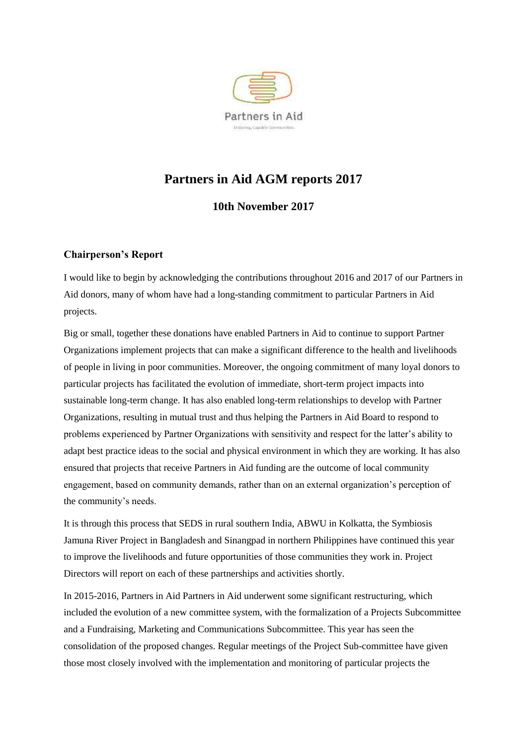

# **Partners in Aid AGM reports 2017**

# **10th November 2017**

#### **Chairperson's Report**

I would like to begin by acknowledging the contributions throughout 2016 and 2017 of our Partners in Aid donors, many of whom have had a long-standing commitment to particular Partners in Aid projects.

Big or small, together these donations have enabled Partners in Aid to continue to support Partner Organizations implement projects that can make a significant difference to the health and livelihoods of people in living in poor communities. Moreover, the ongoing commitment of many loyal donors to particular projects has facilitated the evolution of immediate, short-term project impacts into sustainable long-term change. It has also enabled long-term relationships to develop with Partner Organizations, resulting in mutual trust and thus helping the Partners in Aid Board to respond to problems experienced by Partner Organizations with sensitivity and respect for the latter's ability to adapt best practice ideas to the social and physical environment in which they are working. It has also ensured that projects that receive Partners in Aid funding are the outcome of local community engagement, based on community demands, rather than on an external organization's perception of the community's needs.

It is through this process that SEDS in rural southern India, ABWU in Kolkatta, the Symbiosis Jamuna River Project in Bangladesh and Sinangpad in northern Philippines have continued this year to improve the livelihoods and future opportunities of those communities they work in. Project Directors will report on each of these partnerships and activities shortly.

In 2015-2016, Partners in Aid Partners in Aid underwent some significant restructuring, which included the evolution of a new committee system, with the formalization of a Projects Subcommittee and a Fundraising, Marketing and Communications Subcommittee. This year has seen the consolidation of the proposed changes. Regular meetings of the Project Sub-committee have given those most closely involved with the implementation and monitoring of particular projects the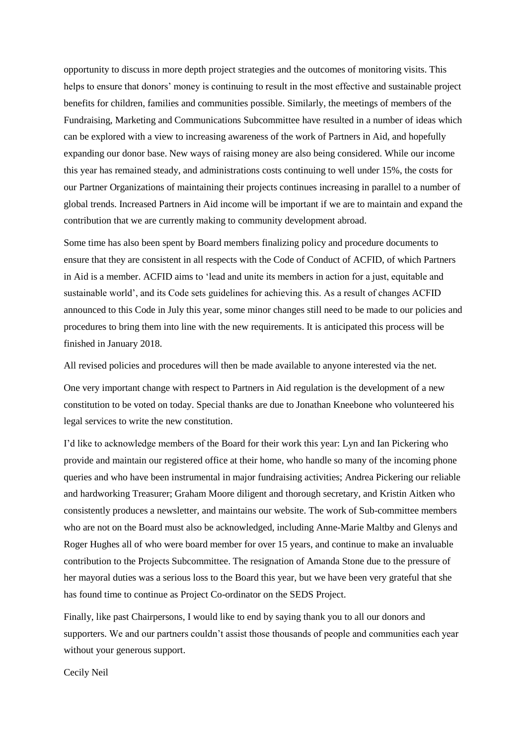opportunity to discuss in more depth project strategies and the outcomes of monitoring visits. This helps to ensure that donors' money is continuing to result in the most effective and sustainable project benefits for children, families and communities possible. Similarly, the meetings of members of the Fundraising, Marketing and Communications Subcommittee have resulted in a number of ideas which can be explored with a view to increasing awareness of the work of Partners in Aid, and hopefully expanding our donor base. New ways of raising money are also being considered. While our income this year has remained steady, and administrations costs continuing to well under 15%, the costs for our Partner Organizations of maintaining their projects continues increasing in parallel to a number of global trends. Increased Partners in Aid income will be important if we are to maintain and expand the contribution that we are currently making to community development abroad.

Some time has also been spent by Board members finalizing policy and procedure documents to ensure that they are consistent in all respects with the Code of Conduct of ACFID, of which Partners in Aid is a member. ACFID aims to 'lead and unite its members in action for a just, equitable and sustainable world', and its Code sets guidelines for achieving this. As a result of changes ACFID announced to this Code in July this year, some minor changes still need to be made to our policies and procedures to bring them into line with the new requirements. It is anticipated this process will be finished in January 2018.

All revised policies and procedures will then be made available to anyone interested via the net.

One very important change with respect to Partners in Aid regulation is the development of a new constitution to be voted on today. Special thanks are due to Jonathan Kneebone who volunteered his legal services to write the new constitution.

I'd like to acknowledge members of the Board for their work this year: Lyn and Ian Pickering who provide and maintain our registered office at their home, who handle so many of the incoming phone queries and who have been instrumental in major fundraising activities; Andrea Pickering our reliable and hardworking Treasurer; Graham Moore diligent and thorough secretary, and Kristin Aitken who consistently produces a newsletter, and maintains our website. The work of Sub-committee members who are not on the Board must also be acknowledged, including Anne-Marie Maltby and Glenys and Roger Hughes all of who were board member for over 15 years, and continue to make an invaluable contribution to the Projects Subcommittee. The resignation of Amanda Stone due to the pressure of her mayoral duties was a serious loss to the Board this year, but we have been very grateful that she has found time to continue as Project Co-ordinator on the SEDS Project.

Finally, like past Chairpersons, I would like to end by saying thank you to all our donors and supporters. We and our partners couldn't assist those thousands of people and communities each year without your generous support.

Cecily Neil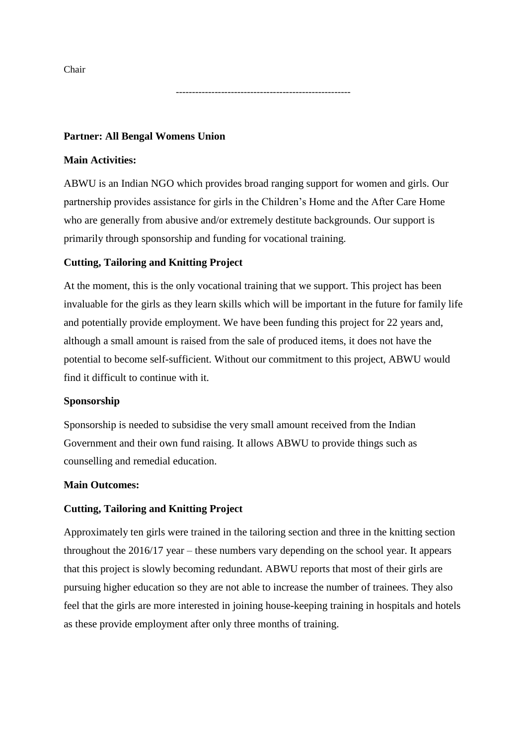Chair

**Partner: All Bengal Womens Union**

#### **Main Activities:**

ABWU is an Indian NGO which provides broad ranging support for women and girls. Our partnership provides assistance for girls in the Children's Home and the After Care Home who are generally from abusive and/or extremely destitute backgrounds. Our support is primarily through sponsorship and funding for vocational training.

------------------------------------------------------

#### **Cutting, Tailoring and Knitting Project**

At the moment, this is the only vocational training that we support. This project has been invaluable for the girls as they learn skills which will be important in the future for family life and potentially provide employment. We have been funding this project for 22 years and, although a small amount is raised from the sale of produced items, it does not have the potential to become self-sufficient. Without our commitment to this project, ABWU would find it difficult to continue with it.

#### **Sponsorship**

Sponsorship is needed to subsidise the very small amount received from the Indian Government and their own fund raising. It allows ABWU to provide things such as counselling and remedial education.

#### **Main Outcomes:**

#### **Cutting, Tailoring and Knitting Project**

Approximately ten girls were trained in the tailoring section and three in the knitting section throughout the 2016/17 year – these numbers vary depending on the school year. It appears that this project is slowly becoming redundant. ABWU reports that most of their girls are pursuing higher education so they are not able to increase the number of trainees. They also feel that the girls are more interested in joining house-keeping training in hospitals and hotels as these provide employment after only three months of training.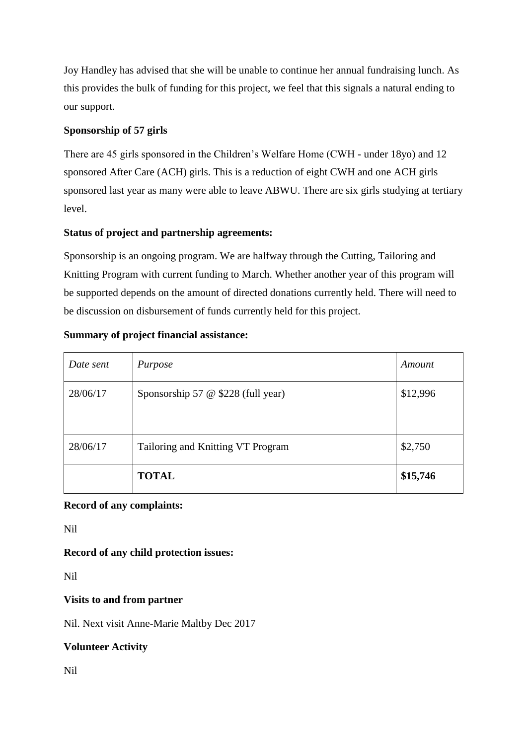Joy Handley has advised that she will be unable to continue her annual fundraising lunch. As this provides the bulk of funding for this project, we feel that this signals a natural ending to our support.

# **Sponsorship of 57 girls**

There are 45 girls sponsored in the Children's Welfare Home (CWH - under 18yo) and 12 sponsored After Care (ACH) girls. This is a reduction of eight CWH and one ACH girls sponsored last year as many were able to leave ABWU. There are six girls studying at tertiary level.

# **Status of project and partnership agreements:**

Sponsorship is an ongoing program. We are halfway through the Cutting, Tailoring and Knitting Program with current funding to March. Whether another year of this program will be supported depends on the amount of directed donations currently held. There will need to be discussion on disbursement of funds currently held for this project.

# **Summary of project financial assistance:**

| Date sent | Purpose                                         | Amount   |
|-----------|-------------------------------------------------|----------|
| 28/06/17  | Sponsorship 57 $\circledcirc$ \$228 (full year) | \$12,996 |
| 28/06/17  | Tailoring and Knitting VT Program               | \$2,750  |
|           | <b>TOTAL</b>                                    | \$15,746 |

# **Record of any complaints:**

Nil

# **Record of any child protection issues:**

Nil

# **Visits to and from partner**

Nil. Next visit Anne-Marie Maltby Dec 2017

# **Volunteer Activity**

Nil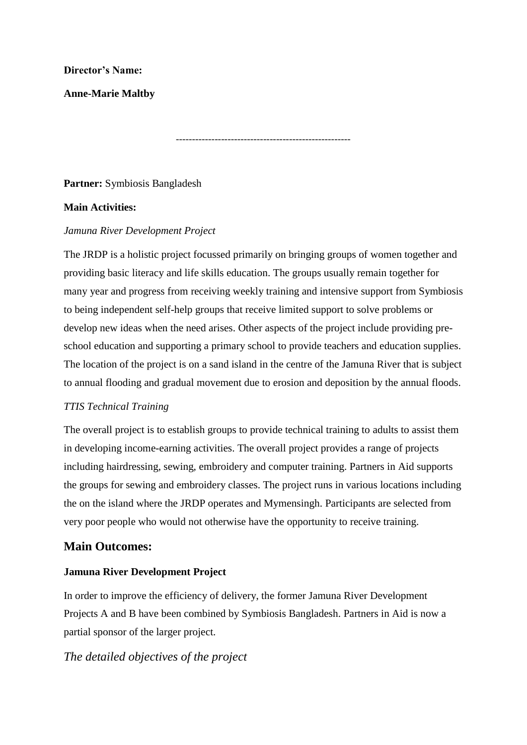#### **Director's Name:**

**Anne-Marie Maltby**

------------------------------------------------------

# **Partner:** Symbiosis Bangladesh

#### **Main Activities:**

#### *Jamuna River Development Project*

The JRDP is a holistic project focussed primarily on bringing groups of women together and providing basic literacy and life skills education. The groups usually remain together for many year and progress from receiving weekly training and intensive support from Symbiosis to being independent self-help groups that receive limited support to solve problems or develop new ideas when the need arises. Other aspects of the project include providing preschool education and supporting a primary school to provide teachers and education supplies. The location of the project is on a sand island in the centre of the Jamuna River that is subject to annual flooding and gradual movement due to erosion and deposition by the annual floods.

# *TTIS Technical Training*

The overall project is to establish groups to provide technical training to adults to assist them in developing income-earning activities. The overall project provides a range of projects including hairdressing, sewing, embroidery and computer training. Partners in Aid supports the groups for sewing and embroidery classes. The project runs in various locations including the on the island where the JRDP operates and Mymensingh. Participants are selected from very poor people who would not otherwise have the opportunity to receive training.

# **Main Outcomes:**

# **Jamuna River Development Project**

In order to improve the efficiency of delivery, the former Jamuna River Development Projects A and B have been combined by Symbiosis Bangladesh. Partners in Aid is now a partial sponsor of the larger project.

# *The detailed objectives of the project*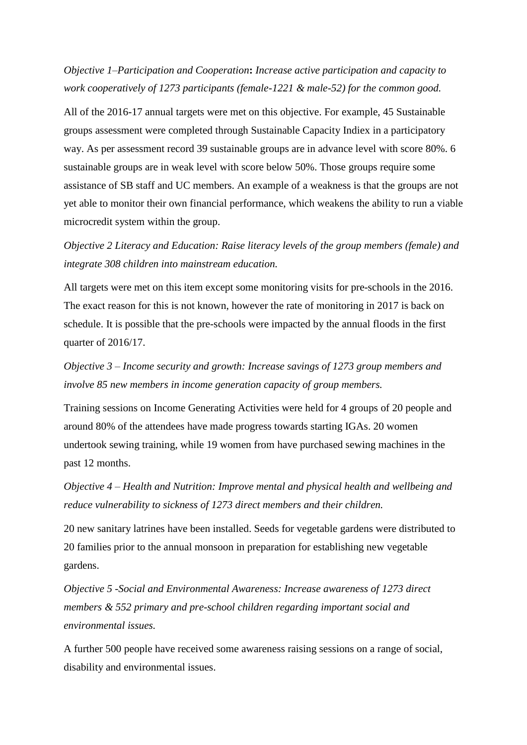*Objective 1–Participation and Cooperation***:** *Increase active participation and capacity to work cooperatively of 1273 participants (female-1221 & male-52) for the common good.*

All of the 2016-17 annual targets were met on this objective. For example, 45 Sustainable groups assessment were completed through Sustainable Capacity Indiex in a participatory way. As per assessment record 39 sustainable groups are in advance level with score 80%. 6 sustainable groups are in weak level with score below 50%. Those groups require some assistance of SB staff and UC members. An example of a weakness is that the groups are not yet able to monitor their own financial performance, which weakens the ability to run a viable microcredit system within the group.

*Objective 2 Literacy and Education: Raise literacy levels of the group members (female) and integrate 308 children into mainstream education.* 

All targets were met on this item except some monitoring visits for pre-schools in the 2016. The exact reason for this is not known, however the rate of monitoring in 2017 is back on schedule. It is possible that the pre-schools were impacted by the annual floods in the first quarter of 2016/17.

*Objective 3 – Income security and growth: Increase savings of 1273 group members and involve 85 new members in income generation capacity of group members.* 

Training sessions on Income Generating Activities were held for 4 groups of 20 people and around 80% of the attendees have made progress towards starting IGAs. 20 women undertook sewing training, while 19 women from have purchased sewing machines in the past 12 months.

*Objective 4 – Health and Nutrition: Improve mental and physical health and wellbeing and reduce vulnerability to sickness of 1273 direct members and their children.* 

20 new sanitary latrines have been installed. Seeds for vegetable gardens were distributed to 20 families prior to the annual monsoon in preparation for establishing new vegetable gardens.

*Objective 5 -Social and Environmental Awareness: Increase awareness of 1273 direct members & 552 primary and pre-school children regarding important social and environmental issues.* 

A further 500 people have received some awareness raising sessions on a range of social, disability and environmental issues.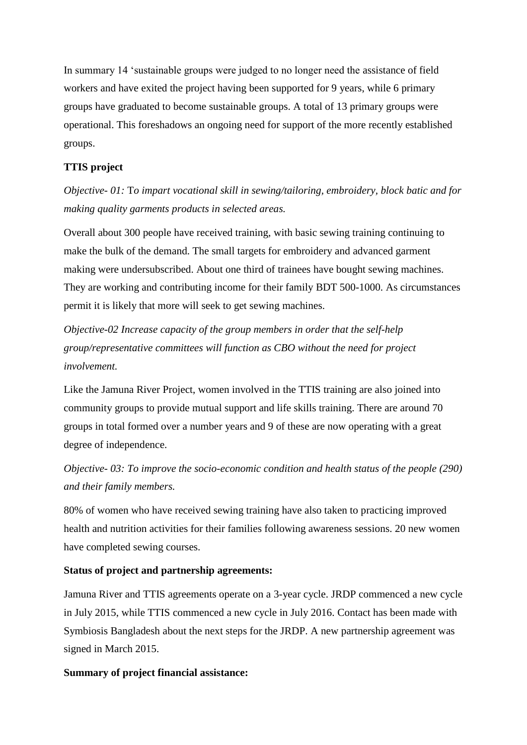In summary 14 'sustainable groups were judged to no longer need the assistance of field workers and have exited the project having been supported for 9 years, while 6 primary groups have graduated to become sustainable groups. A total of 13 primary groups were operational. This foreshadows an ongoing need for support of the more recently established groups.

#### **TTIS project**

*Objective- 01:* T*o impart vocational skill in sewing/tailoring, embroidery, block batic and for making quality garments products in selected areas.* 

Overall about 300 people have received training, with basic sewing training continuing to make the bulk of the demand. The small targets for embroidery and advanced garment making were undersubscribed. About one third of trainees have bought sewing machines. They are working and contributing income for their family BDT 500-1000. As circumstances permit it is likely that more will seek to get sewing machines.

*Objective-02 Increase capacity of the group members in order that the self-help group/representative committees will function as CBO without the need for project involvement.* 

Like the Jamuna River Project, women involved in the TTIS training are also joined into community groups to provide mutual support and life skills training. There are around 70 groups in total formed over a number years and 9 of these are now operating with a great degree of independence.

*Objective- 03: To improve the socio-economic condition and health status of the people (290) and their family members.* 

80% of women who have received sewing training have also taken to practicing improved health and nutrition activities for their families following awareness sessions. 20 new women have completed sewing courses.

#### **Status of project and partnership agreements:**

Jamuna River and TTIS agreements operate on a 3-year cycle. JRDP commenced a new cycle in July 2015, while TTIS commenced a new cycle in July 2016. Contact has been made with Symbiosis Bangladesh about the next steps for the JRDP. A new partnership agreement was signed in March 2015.

#### **Summary of project financial assistance:**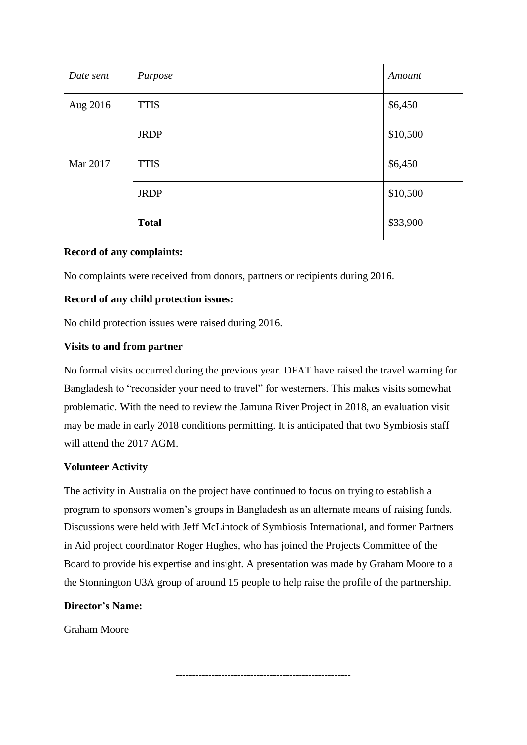| Date sent | Purpose      | Amount   |
|-----------|--------------|----------|
| Aug 2016  | <b>TTIS</b>  | \$6,450  |
|           | <b>JRDP</b>  | \$10,500 |
| Mar 2017  | <b>TTIS</b>  | \$6,450  |
|           | <b>JRDP</b>  | \$10,500 |
|           | <b>Total</b> | \$33,900 |

#### **Record of any complaints:**

No complaints were received from donors, partners or recipients during 2016.

#### **Record of any child protection issues:**

No child protection issues were raised during 2016.

#### **Visits to and from partner**

No formal visits occurred during the previous year. DFAT have raised the travel warning for Bangladesh to "reconsider your need to travel" for westerners. This makes visits somewhat problematic. With the need to review the Jamuna River Project in 2018, an evaluation visit may be made in early 2018 conditions permitting. It is anticipated that two Symbiosis staff will attend the 2017 AGM.

#### **Volunteer Activity**

The activity in Australia on the project have continued to focus on trying to establish a program to sponsors women's groups in Bangladesh as an alternate means of raising funds. Discussions were held with Jeff McLintock of Symbiosis International, and former Partners in Aid project coordinator Roger Hughes, who has joined the Projects Committee of the Board to provide his expertise and insight. A presentation was made by Graham Moore to a the Stonnington U3A group of around 15 people to help raise the profile of the partnership.

# **Director's Name:**

Graham Moore

------------------------------------------------------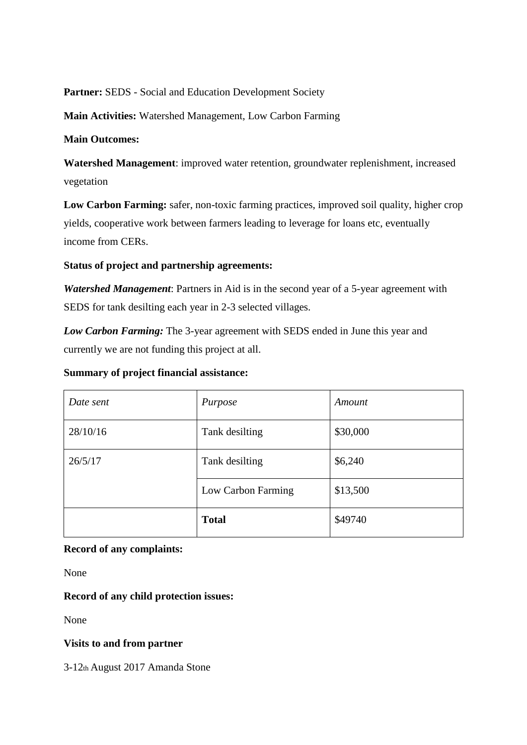Partner: SEDS - Social and Education Development Society

**Main Activities:** Watershed Management, Low Carbon Farming

# **Main Outcomes:**

**Watershed Management**: improved water retention, groundwater replenishment, increased vegetation

**Low Carbon Farming:** safer, non-toxic farming practices, improved soil quality, higher crop yields, cooperative work between farmers leading to leverage for loans etc, eventually income from CERs.

# **Status of project and partnership agreements:**

*Watershed Management*: Partners in Aid is in the second year of a 5-year agreement with SEDS for tank desilting each year in 2-3 selected villages.

*Low Carbon Farming:* The 3-year agreement with SEDS ended in June this year and currently we are not funding this project at all.

# **Summary of project financial assistance:**

| Date sent | Purpose            | Amount   |
|-----------|--------------------|----------|
| 28/10/16  | Tank desilting     | \$30,000 |
| 26/5/17   | Tank desilting     | \$6,240  |
|           | Low Carbon Farming | \$13,500 |
|           | <b>Total</b>       | \$49740  |

# **Record of any complaints:**

None

# **Record of any child protection issues:**

None

# **Visits to and from partner**

3-12th August 2017 Amanda Stone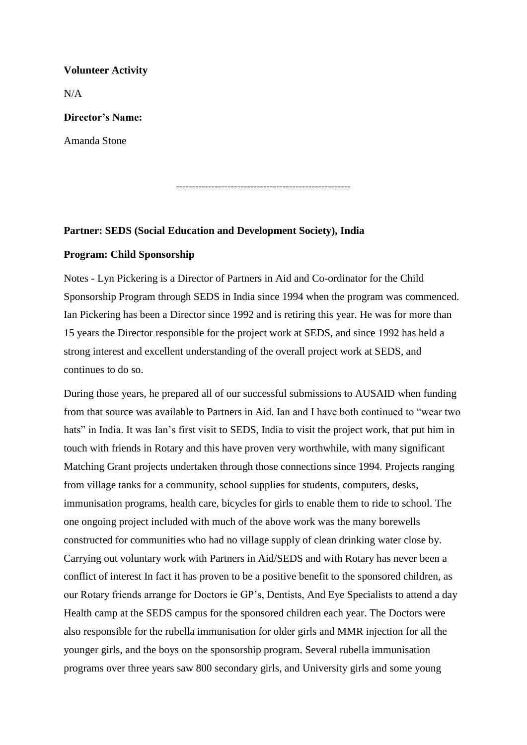#### **Volunteer Activity**

 $N/A$ 

#### **Director's Name:**

Amanda Stone

------------------------------------------------------

#### **Partner: SEDS (Social Education and Development Society), India**

#### **Program: Child Sponsorship**

Notes - Lyn Pickering is a Director of Partners in Aid and Co-ordinator for the Child Sponsorship Program through SEDS in India since 1994 when the program was commenced. Ian Pickering has been a Director since 1992 and is retiring this year. He was for more than 15 years the Director responsible for the project work at SEDS, and since 1992 has held a strong interest and excellent understanding of the overall project work at SEDS, and continues to do so.

During those years, he prepared all of our successful submissions to AUSAID when funding from that source was available to Partners in Aid. Ian and I have both continued to "wear two hats" in India. It was Ian's first visit to SEDS, India to visit the project work, that put him in touch with friends in Rotary and this have proven very worthwhile, with many significant Matching Grant projects undertaken through those connections since 1994. Projects ranging from village tanks for a community, school supplies for students, computers, desks, immunisation programs, health care, bicycles for girls to enable them to ride to school. The one ongoing project included with much of the above work was the many borewells constructed for communities who had no village supply of clean drinking water close by. Carrying out voluntary work with Partners in Aid/SEDS and with Rotary has never been a conflict of interest In fact it has proven to be a positive benefit to the sponsored children, as our Rotary friends arrange for Doctors ie GP's, Dentists, And Eye Specialists to attend a day Health camp at the SEDS campus for the sponsored children each year. The Doctors were also responsible for the rubella immunisation for older girls and MMR injection for all the younger girls, and the boys on the sponsorship program. Several rubella immunisation programs over three years saw 800 secondary girls, and University girls and some young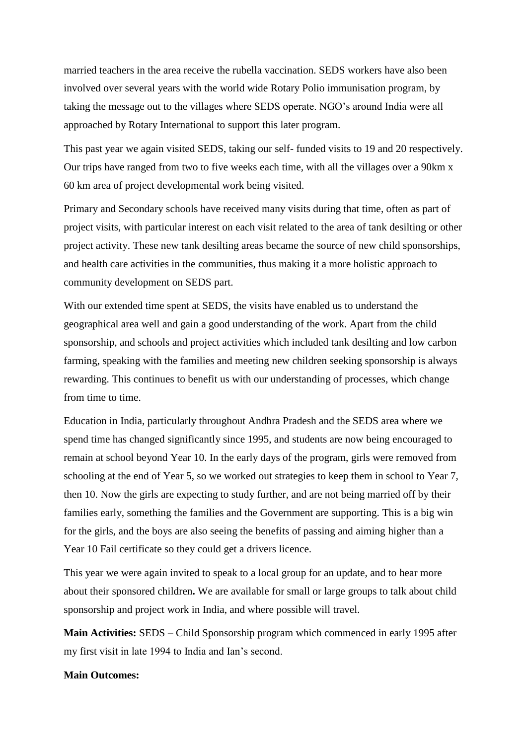married teachers in the area receive the rubella vaccination. SEDS workers have also been involved over several years with the world wide Rotary Polio immunisation program, by taking the message out to the villages where SEDS operate. NGO's around India were all approached by Rotary International to support this later program.

This past year we again visited SEDS, taking our self- funded visits to 19 and 20 respectively. Our trips have ranged from two to five weeks each time, with all the villages over a 90km x 60 km area of project developmental work being visited.

Primary and Secondary schools have received many visits during that time, often as part of project visits, with particular interest on each visit related to the area of tank desilting or other project activity. These new tank desilting areas became the source of new child sponsorships, and health care activities in the communities, thus making it a more holistic approach to community development on SEDS part.

With our extended time spent at SEDS, the visits have enabled us to understand the geographical area well and gain a good understanding of the work. Apart from the child sponsorship, and schools and project activities which included tank desilting and low carbon farming, speaking with the families and meeting new children seeking sponsorship is always rewarding. This continues to benefit us with our understanding of processes, which change from time to time.

Education in India, particularly throughout Andhra Pradesh and the SEDS area where we spend time has changed significantly since 1995, and students are now being encouraged to remain at school beyond Year 10. In the early days of the program, girls were removed from schooling at the end of Year 5, so we worked out strategies to keep them in school to Year 7, then 10. Now the girls are expecting to study further, and are not being married off by their families early, something the families and the Government are supporting. This is a big win for the girls, and the boys are also seeing the benefits of passing and aiming higher than a Year 10 Fail certificate so they could get a drivers licence.

This year we were again invited to speak to a local group for an update, and to hear more about their sponsored children**.** We are available for small or large groups to talk about child sponsorship and project work in India, and where possible will travel.

**Main Activities:** SEDS – Child Sponsorship program which commenced in early 1995 after my first visit in late 1994 to India and Ian's second.

#### **Main Outcomes:**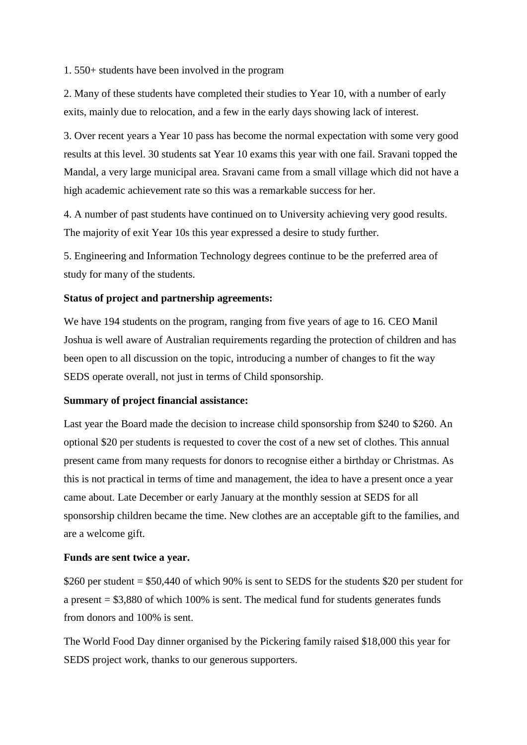1. 550+ students have been involved in the program

2. Many of these students have completed their studies to Year 10, with a number of early exits, mainly due to relocation, and a few in the early days showing lack of interest.

3. Over recent years a Year 10 pass has become the normal expectation with some very good results at this level. 30 students sat Year 10 exams this year with one fail. Sravani topped the Mandal, a very large municipal area. Sravani came from a small village which did not have a high academic achievement rate so this was a remarkable success for her.

4. A number of past students have continued on to University achieving very good results. The majority of exit Year 10s this year expressed a desire to study further.

5. Engineering and Information Technology degrees continue to be the preferred area of study for many of the students.

#### **Status of project and partnership agreements:**

We have 194 students on the program, ranging from five years of age to 16. CEO Manil Joshua is well aware of Australian requirements regarding the protection of children and has been open to all discussion on the topic, introducing a number of changes to fit the way SEDS operate overall, not just in terms of Child sponsorship.

#### **Summary of project financial assistance:**

Last year the Board made the decision to increase child sponsorship from \$240 to \$260. An optional \$20 per students is requested to cover the cost of a new set of clothes. This annual present came from many requests for donors to recognise either a birthday or Christmas. As this is not practical in terms of time and management, the idea to have a present once a year came about. Late December or early January at the monthly session at SEDS for all sponsorship children became the time. New clothes are an acceptable gift to the families, and are a welcome gift.

#### **Funds are sent twice a year.**

\$260 per student = \$50,440 of which 90% is sent to SEDS for the students \$20 per student for a present = \$3,880 of which 100% is sent. The medical fund for students generates funds from donors and 100% is sent.

The World Food Day dinner organised by the Pickering family raised \$18,000 this year for SEDS project work, thanks to our generous supporters.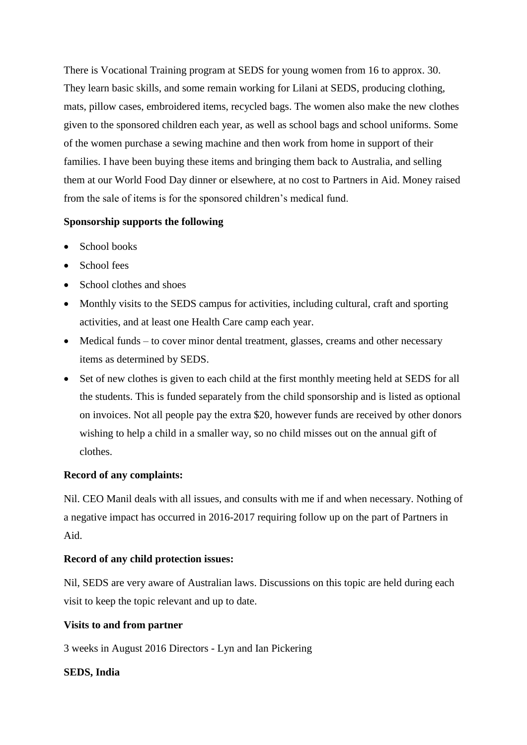There is Vocational Training program at SEDS for young women from 16 to approx. 30. They learn basic skills, and some remain working for Lilani at SEDS, producing clothing, mats, pillow cases, embroidered items, recycled bags. The women also make the new clothes given to the sponsored children each year, as well as school bags and school uniforms. Some of the women purchase a sewing machine and then work from home in support of their families. I have been buying these items and bringing them back to Australia, and selling them at our World Food Day dinner or elsewhere, at no cost to Partners in Aid. Money raised from the sale of items is for the sponsored children's medical fund.

# **Sponsorship supports the following**

- School books
- School fees
- School clothes and shoes
- Monthly visits to the SEDS campus for activities, including cultural, craft and sporting activities, and at least one Health Care camp each year.
- Medical funds to cover minor dental treatment, glasses, creams and other necessary items as determined by SEDS.
- Set of new clothes is given to each child at the first monthly meeting held at SEDS for all the students. This is funded separately from the child sponsorship and is listed as optional on invoices. Not all people pay the extra \$20, however funds are received by other donors wishing to help a child in a smaller way, so no child misses out on the annual gift of clothes.

# **Record of any complaints:**

Nil. CEO Manil deals with all issues, and consults with me if and when necessary. Nothing of a negative impact has occurred in 2016-2017 requiring follow up on the part of Partners in Aid.

# **Record of any child protection issues:**

Nil, SEDS are very aware of Australian laws. Discussions on this topic are held during each visit to keep the topic relevant and up to date.

# **Visits to and from partner**

3 weeks in August 2016 Directors - Lyn and Ian Pickering

# **SEDS, India**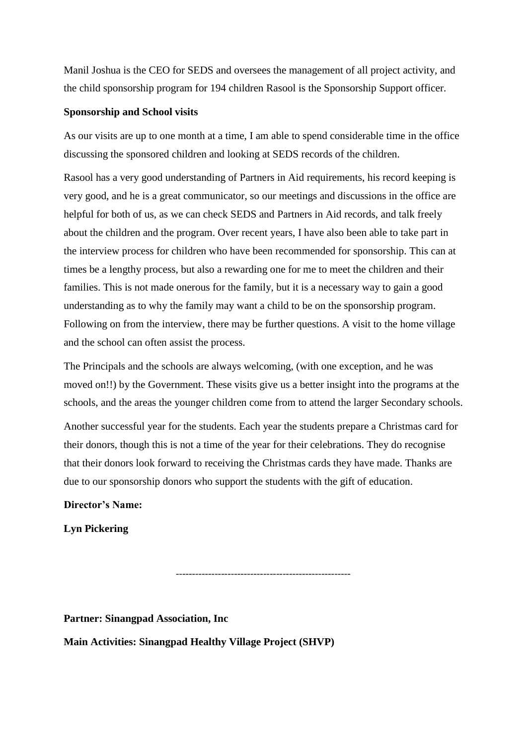Manil Joshua is the CEO for SEDS and oversees the management of all project activity, and the child sponsorship program for 194 children Rasool is the Sponsorship Support officer.

#### **Sponsorship and School visits**

As our visits are up to one month at a time, I am able to spend considerable time in the office discussing the sponsored children and looking at SEDS records of the children.

Rasool has a very good understanding of Partners in Aid requirements, his record keeping is very good, and he is a great communicator, so our meetings and discussions in the office are helpful for both of us, as we can check SEDS and Partners in Aid records, and talk freely about the children and the program. Over recent years, I have also been able to take part in the interview process for children who have been recommended for sponsorship. This can at times be a lengthy process, but also a rewarding one for me to meet the children and their families. This is not made onerous for the family, but it is a necessary way to gain a good understanding as to why the family may want a child to be on the sponsorship program. Following on from the interview, there may be further questions. A visit to the home village and the school can often assist the process.

The Principals and the schools are always welcoming, (with one exception, and he was moved on!!) by the Government. These visits give us a better insight into the programs at the schools, and the areas the younger children come from to attend the larger Secondary schools.

Another successful year for the students. Each year the students prepare a Christmas card for their donors, though this is not a time of the year for their celebrations. They do recognise that their donors look forward to receiving the Christmas cards they have made. Thanks are due to our sponsorship donors who support the students with the gift of education.

**Director's Name:**

**Lyn Pickering**

------------------------------------------------------

**Partner: Sinangpad Association, Inc**

**Main Activities: Sinangpad Healthy Village Project (SHVP)**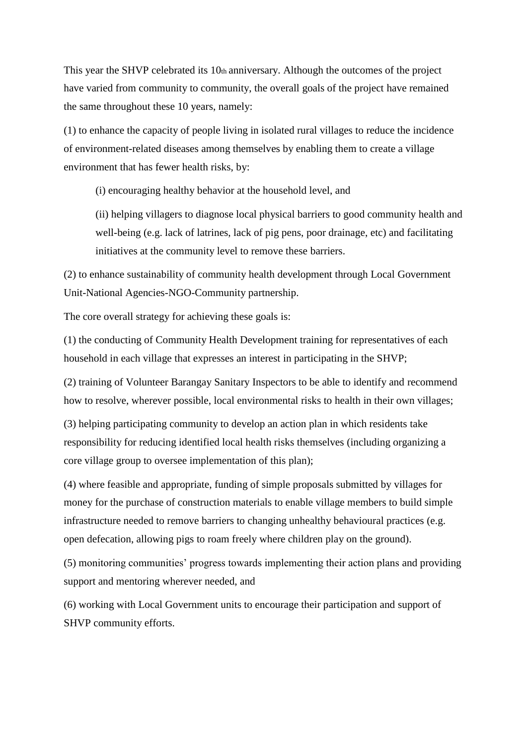This year the SHVP celebrated its 10th anniversary. Although the outcomes of the project have varied from community to community, the overall goals of the project have remained the same throughout these 10 years, namely:

(1) to enhance the capacity of people living in isolated rural villages to reduce the incidence of environment-related diseases among themselves by enabling them to create a village environment that has fewer health risks, by:

(i) encouraging healthy behavior at the household level, and

(ii) helping villagers to diagnose local physical barriers to good community health and well-being (e.g. lack of latrines, lack of pig pens, poor drainage, etc) and facilitating initiatives at the community level to remove these barriers.

(2) to enhance sustainability of community health development through Local Government Unit-National Agencies-NGO-Community partnership.

The core overall strategy for achieving these goals is:

(1) the conducting of Community Health Development training for representatives of each household in each village that expresses an interest in participating in the SHVP;

(2) training of Volunteer Barangay Sanitary Inspectors to be able to identify and recommend how to resolve, wherever possible, local environmental risks to health in their own villages;

(3) helping participating community to develop an action plan in which residents take responsibility for reducing identified local health risks themselves (including organizing a core village group to oversee implementation of this plan);

(4) where feasible and appropriate, funding of simple proposals submitted by villages for money for the purchase of construction materials to enable village members to build simple infrastructure needed to remove barriers to changing unhealthy behavioural practices (e.g. open defecation, allowing pigs to roam freely where children play on the ground).

(5) monitoring communities' progress towards implementing their action plans and providing support and mentoring wherever needed, and

(6) working with Local Government units to encourage their participation and support of SHVP community efforts.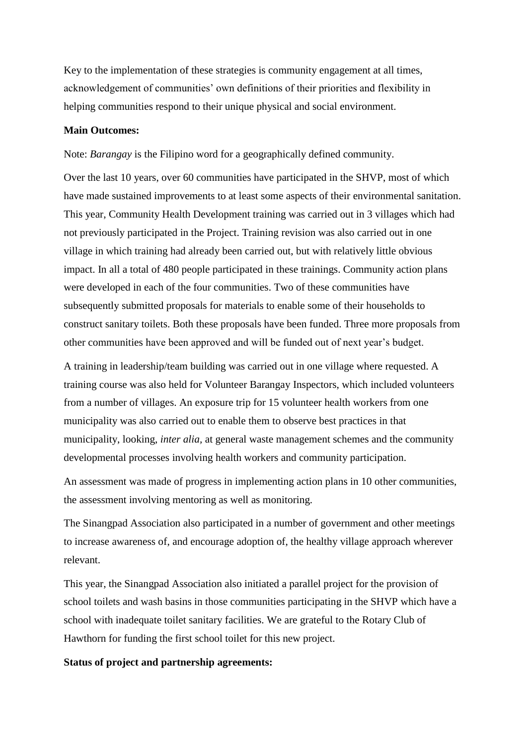Key to the implementation of these strategies is community engagement at all times, acknowledgement of communities' own definitions of their priorities and flexibility in helping communities respond to their unique physical and social environment.

#### **Main Outcomes:**

Note: *Barangay* is the Filipino word for a geographically defined community.

Over the last 10 years, over 60 communities have participated in the SHVP, most of which have made sustained improvements to at least some aspects of their environmental sanitation. This year, Community Health Development training was carried out in 3 villages which had not previously participated in the Project. Training revision was also carried out in one village in which training had already been carried out, but with relatively little obvious impact. In all a total of 480 people participated in these trainings. Community action plans were developed in each of the four communities. Two of these communities have subsequently submitted proposals for materials to enable some of their households to construct sanitary toilets. Both these proposals have been funded. Three more proposals from other communities have been approved and will be funded out of next year's budget.

A training in leadership/team building was carried out in one village where requested. A training course was also held for Volunteer Barangay Inspectors, which included volunteers from a number of villages. An exposure trip for 15 volunteer health workers from one municipality was also carried out to enable them to observe best practices in that municipality, looking, *inter alia,* at general waste management schemes and the community developmental processes involving health workers and community participation.

An assessment was made of progress in implementing action plans in 10 other communities, the assessment involving mentoring as well as monitoring.

The Sinangpad Association also participated in a number of government and other meetings to increase awareness of, and encourage adoption of, the healthy village approach wherever relevant.

This year, the Sinangpad Association also initiated a parallel project for the provision of school toilets and wash basins in those communities participating in the SHVP which have a school with inadequate toilet sanitary facilities. We are grateful to the Rotary Club of Hawthorn for funding the first school toilet for this new project.

#### **Status of project and partnership agreements:**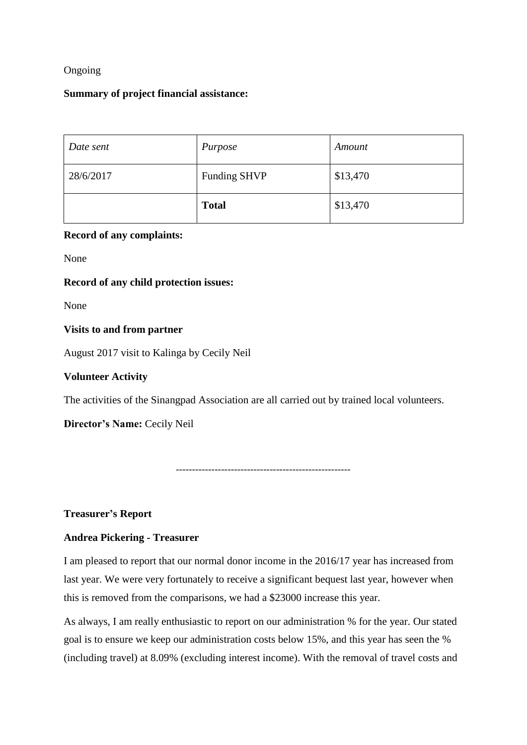# Ongoing

#### **Summary of project financial assistance:**

| Date sent | Purpose             | Amount   |
|-----------|---------------------|----------|
| 28/6/2017 | <b>Funding SHVP</b> | \$13,470 |
|           | <b>Total</b>        | \$13,470 |

# **Record of any complaints:**

None

# **Record of any child protection issues:**

None

#### **Visits to and from partner**

August 2017 visit to Kalinga by Cecily Neil

# **Volunteer Activity**

The activities of the Sinangpad Association are all carried out by trained local volunteers.

**Director's Name:** Cecily Neil

------------------------------------------------------

#### **Treasurer's Report**

# **Andrea Pickering - Treasurer**

I am pleased to report that our normal donor income in the 2016/17 year has increased from last year. We were very fortunately to receive a significant bequest last year, however when this is removed from the comparisons, we had a \$23000 increase this year.

As always, I am really enthusiastic to report on our administration % for the year. Our stated goal is to ensure we keep our administration costs below 15%, and this year has seen the % (including travel) at 8.09% (excluding interest income). With the removal of travel costs and